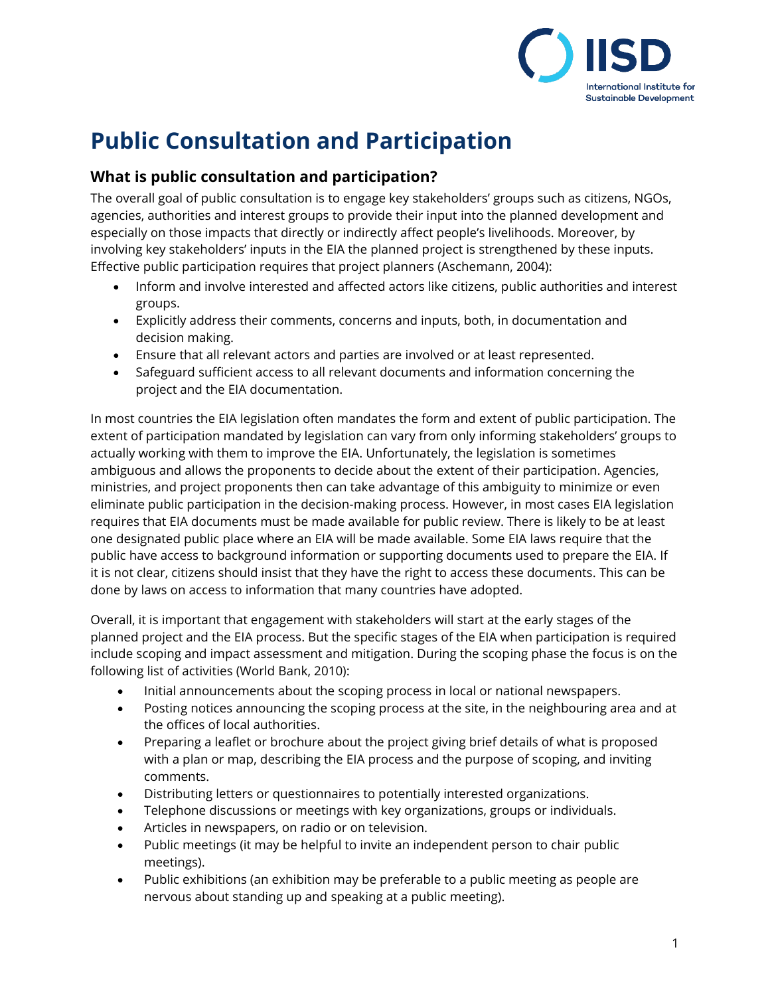

# **Public Consultation and Participation**

### **What is public consultation and participation?**

The overall goal of public consultation is to engage key stakeholders' groups such as citizens, NGOs, agencies, authorities and interest groups to provide their input into the planned development and especially on those impacts that directly or indirectly affect people's livelihoods. Moreover, by involving key stakeholders' inputs in the EIA the planned project is strengthened by these inputs. Effective public participation requires that project planners (Aschemann, 2004):

- Inform and involve interested and affected actors like citizens, public authorities and interest groups.
- Explicitly address their comments, concerns and inputs, both, in documentation and decision making.
- Ensure that all relevant actors and parties are involved or at least represented.
- Safeguard sufficient access to all relevant documents and information concerning the project and the EIA documentation.

In most countries the EIA legislation often mandates the form and extent of public participation. The extent of participation mandated by legislation can vary from only informing stakeholders' groups to actually working with them to improve the EIA. Unfortunately, the legislation is sometimes ambiguous and allows the proponents to decide about the extent of their participation. Agencies, ministries, and project proponents then can take advantage of this ambiguity to minimize or even eliminate public participation in the decision-making process. However, in most cases EIA legislation requires that EIA documents must be made available for public review. There is likely to be at least one designated public place where an EIA will be made available. Some EIA laws require that the public have access to background information or supporting documents used to prepare the EIA. If it is not clear, citizens should insist that they have the right to access these documents. This can be done by laws on access to information that many countries have adopted.

Overall, it is important that engagement with stakeholders will start at the early stages of the planned project and the EIA process. But the specific stages of the EIA when participation is required include scoping and impact assessment and mitigation. During the scoping phase the focus is on the following list of activities (World Bank, 2010):

- Initial announcements about the scoping process in local or national newspapers.
- Posting notices announcing the scoping process at the site, in the neighbouring area and at the offices of local authorities.
- Preparing a leaflet or brochure about the project giving brief details of what is proposed with a plan or map, describing the EIA process and the purpose of scoping, and inviting comments.
- Distributing letters or questionnaires to potentially interested organizations.
- Telephone discussions or meetings with key organizations, groups or individuals.
- Articles in newspapers, on radio or on television.
- Public meetings (it may be helpful to invite an independent person to chair public meetings).
- Public exhibitions (an exhibition may be preferable to a public meeting as people are nervous about standing up and speaking at a public meeting).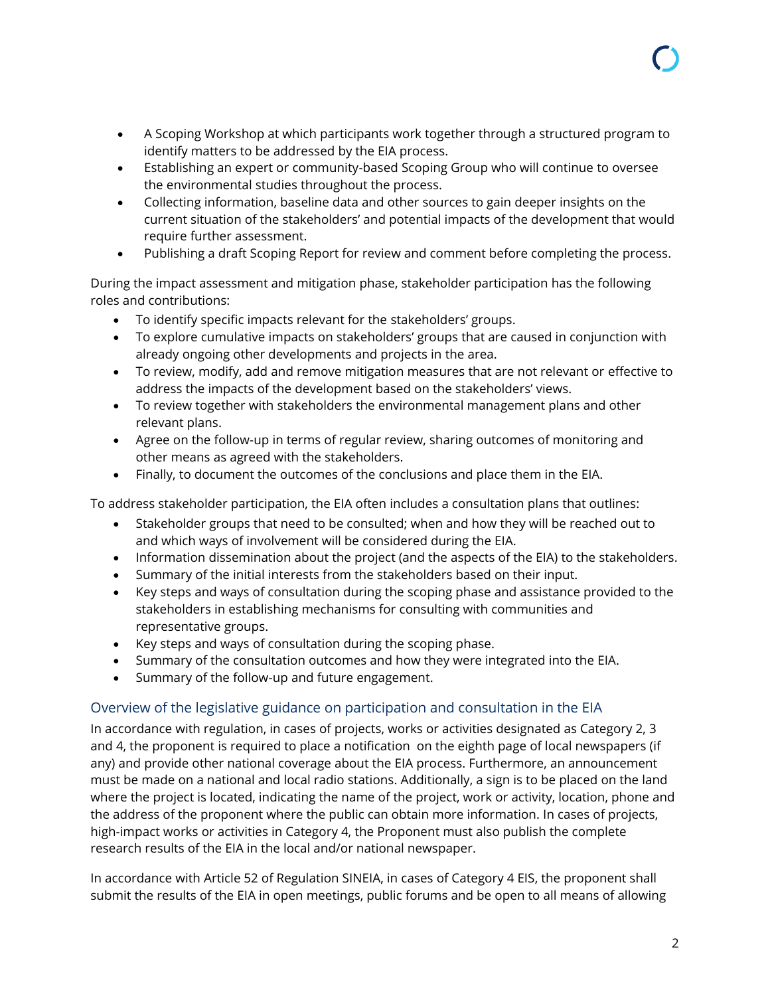- A Scoping Workshop at which participants work together through a structured program to identify matters to be addressed by the EIA process.
- Establishing an expert or community-based Scoping Group who will continue to oversee the environmental studies throughout the process.
- Collecting information, baseline data and other sources to gain deeper insights on the current situation of the stakeholders' and potential impacts of the development that would require further assessment.
- Publishing a draft Scoping Report for review and comment before completing the process.

During the impact assessment and mitigation phase, stakeholder participation has the following roles and contributions:

- To identify specific impacts relevant for the stakeholders' groups.
- To explore cumulative impacts on stakeholders' groups that are caused in conjunction with already ongoing other developments and projects in the area.
- To review, modify, add and remove mitigation measures that are not relevant or effective to address the impacts of the development based on the stakeholders' views.
- To review together with stakeholders the environmental management plans and other relevant plans.
- Agree on the follow-up in terms of regular review, sharing outcomes of monitoring and other means as agreed with the stakeholders.
- Finally, to document the outcomes of the conclusions and place them in the EIA.

To address stakeholder participation, the EIA often includes a consultation plans that outlines:

- Stakeholder groups that need to be consulted; when and how they will be reached out to and which ways of involvement will be considered during the EIA.
- Information dissemination about the project (and the aspects of the EIA) to the stakeholders.
- Summary of the initial interests from the stakeholders based on their input.
- Key steps and ways of consultation during the scoping phase and assistance provided to the stakeholders in establishing mechanisms for consulting with communities and representative groups.
- Key steps and ways of consultation during the scoping phase.
- Summary of the consultation outcomes and how they were integrated into the EIA.
- Summary of the follow-up and future engagement.

#### Overview of the legislative guidance on participation and consultation in the EIA

In accordance with regulation, in cases of projects, works or activities designated as Category 2, 3 and 4, the proponent is required to place a notification on the eighth page of local newspapers (if any) and provide other national coverage about the EIA process. Furthermore, an announcement must be made on a national and local radio stations. Additionally, a sign is to be placed on the land where the project is located, indicating the name of the project, work or activity, location, phone and the address of the proponent where the public can obtain more information. In cases of projects, high-impact works or activities in Category 4, the Proponent must also publish the complete research results of the EIA in the local and/or national newspaper.

In accordance with Article 52 of Regulation SINEIA, in cases of Category 4 EIS, the proponent shall submit the results of the EIA in open meetings, public forums and be open to all means of allowing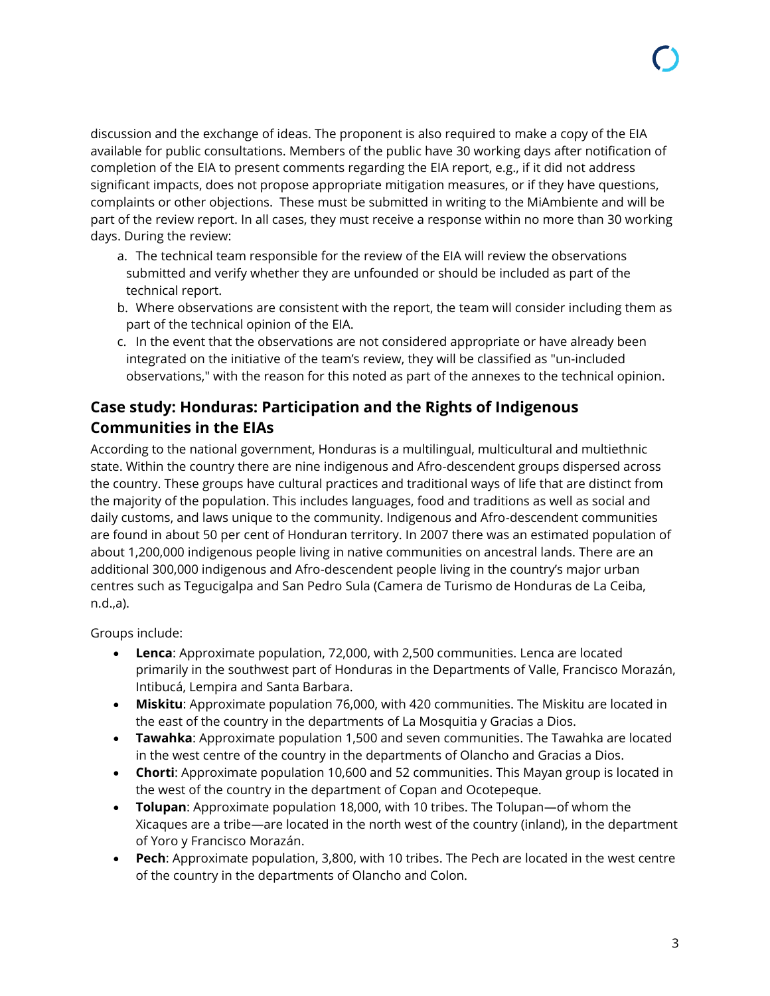discussion and the exchange of ideas. The proponent is also required to make a copy of the EIA available for public consultations. Members of the public have 30 working days after notification of completion of the EIA to present comments regarding the EIA report, e.g., if it did not address significant impacts, does not propose appropriate mitigation measures, or if they have questions, complaints or other objections. These must be submitted in writing to the MiAmbiente and will be part of the review report. In all cases, they must receive a response within no more than 30 working days. During the review:

- a. The technical team responsible for the review of the EIA will review the observations submitted and verify whether they are unfounded or should be included as part of the technical report.
- b. Where observations are consistent with the report, the team will consider including them as part of the technical opinion of the EIA.
- c. In the event that the observations are not considered appropriate or have already been integrated on the initiative of the team's review, they will be classified as "un-included observations," with the reason for this noted as part of the annexes to the technical opinion.

## **Case study: Honduras: Participation and the Rights of Indigenous Communities in the EIAs**

According to the national government, Honduras is a multilingual, multicultural and multiethnic state. Within the country there are nine indigenous and Afro-descendent groups dispersed across the country. These groups have cultural practices and traditional ways of life that are distinct from the majority of the population. This includes languages, food and traditions as well as social and daily customs, and laws unique to the community. Indigenous and Afro-descendent communities are found in about 50 per cent of Honduran territory. In 2007 there was an estimated population of about 1,200,000 indigenous people living in native communities on ancestral lands. There are an additional 300,000 indigenous and Afro-descendent people living in the country's major urban centres such as Tegucigalpa and San Pedro Sula (Camera de Turismo de Honduras de La Ceiba, n.d.,a).

Groups include:

- **Lenca**: Approximate population, 72,000, with 2,500 communities. Lenca are located primarily in the southwest part of Honduras in the Departments of Valle, Francisco Morazán, Intibucá, Lempira and Santa Barbara.
- **Miskitu**: Approximate population 76,000, with 420 communities. The Miskitu are located in the east of the country in the departments of La Mosquitia y Gracias a Dios.
- **Tawahka**: Approximate population 1,500 and seven communities. The Tawahka are located in the west centre of the country in the departments of Olancho and Gracias a Dios.
- **Chorti**: Approximate population 10,600 and 52 communities. This Mayan group is located in the west of the country in the department of Copan and Ocotepeque.
- **Tolupan**: Approximate population 18,000, with 10 tribes. The Tolupan—of whom the Xicaques are a tribe—are located in the north west of the country (inland), in the department of Yoro y Francisco Morazán.
- **Pech**: Approximate population, 3,800, with 10 tribes. The Pech are located in the west centre of the country in the departments of Olancho and Colon.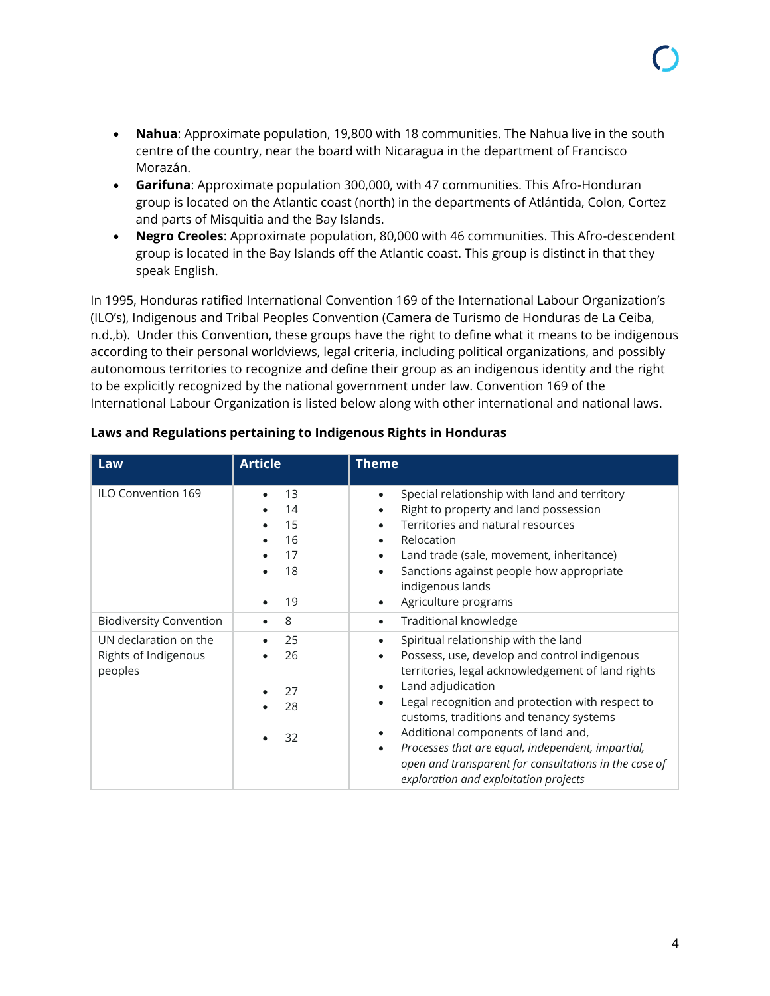- **Nahua**: Approximate population, 19,800 with 18 communities. The Nahua live in the south centre of the country, near the board with Nicaragua in the department of Francisco Morazán.
- **Garifuna**: Approximate population 300,000, with 47 communities. This Afro-Honduran group is located on the Atlantic coast (north) in the departments of Atlántida, Colon, Cortez and parts of Misquitia and the Bay Islands.
- **Negro Creoles**: Approximate population, 80,000 with 46 communities. This Afro-descendent group is located in the Bay Islands off the Atlantic coast. This group is distinct in that they speak English.

In 1995, Honduras ratified International Convention 169 of the International Labour Organization's (ILO's), Indigenous and Tribal Peoples Convention (Camera de Turismo de Honduras de La Ceiba, n.d.,b). Under this Convention, these groups have the right to define what it means to be indigenous according to their personal worldviews, legal criteria, including political organizations, and possibly autonomous territories to recognize and define their group as an indigenous identity and the right to be explicitly recognized by the national government under law. Convention 169 of the International Labour Organization is listed below along with other international and national laws.

| Law                                                      | <b>Article</b>                         | <b>Theme</b>                                                                                                                                                                                                                                                                                                                                                                                                                                                                                      |
|----------------------------------------------------------|----------------------------------------|---------------------------------------------------------------------------------------------------------------------------------------------------------------------------------------------------------------------------------------------------------------------------------------------------------------------------------------------------------------------------------------------------------------------------------------------------------------------------------------------------|
| ILO Convention 169                                       | 13<br>14<br>15<br>16<br>17<br>18<br>19 | Special relationship with land and territory<br>$\bullet$<br>Right to property and land possession<br>Territories and natural resources<br>Relocation<br>$\bullet$<br>Land trade (sale, movement, inheritance)<br>Sanctions against people how appropriate<br>indigenous lands<br>Agriculture programs                                                                                                                                                                                            |
| <b>Biodiversity Convention</b>                           | 8                                      | Traditional knowledge<br>$\bullet$                                                                                                                                                                                                                                                                                                                                                                                                                                                                |
| UN declaration on the<br>Rights of Indigenous<br>peoples | 25<br>26<br>27<br>28<br>32             | Spiritual relationship with the land<br>$\bullet$<br>Possess, use, develop and control indigenous<br>territories, legal acknowledgement of land rights<br>Land adjudication<br>Legal recognition and protection with respect to<br>customs, traditions and tenancy systems<br>Additional components of land and,<br>$\bullet$<br>Processes that are equal, independent, impartial,<br>$\bullet$<br>open and transparent for consultations in the case of<br>exploration and exploitation projects |

#### **Laws and Regulations pertaining to Indigenous Rights in Honduras**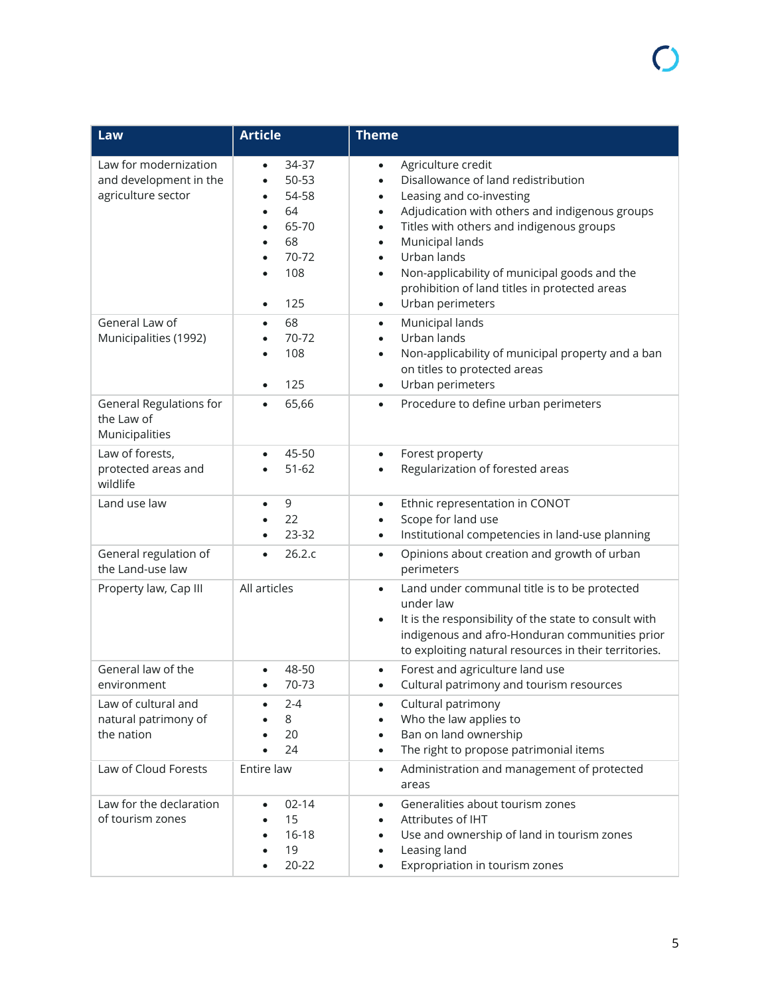| Law                                                                   | <b>Article</b>                                                                                | <b>Theme</b>                                                                                                                                                                                                                                                                                                                                                                                                             |
|-----------------------------------------------------------------------|-----------------------------------------------------------------------------------------------|--------------------------------------------------------------------------------------------------------------------------------------------------------------------------------------------------------------------------------------------------------------------------------------------------------------------------------------------------------------------------------------------------------------------------|
| Law for modernization<br>and development in the<br>agriculture sector | 34-37<br>$\bullet$<br>50-53<br>54-58<br>64<br>65-70<br>68<br>70-72<br>108<br>125<br>$\bullet$ | Agriculture credit<br>Disallowance of land redistribution<br>Leasing and co-investing<br>$\bullet$<br>Adjudication with others and indigenous groups<br>$\bullet$<br>Titles with others and indigenous groups<br>$\bullet$<br>Municipal lands<br>Urban lands<br>$\bullet$<br>Non-applicability of municipal goods and the<br>$\bullet$<br>prohibition of land titles in protected areas<br>Urban perimeters<br>$\bullet$ |
| General Law of<br>Municipalities (1992)                               | 68<br>$\bullet$<br>70-72<br>108<br>125                                                        | Municipal lands<br>$\bullet$<br>Urban lands<br>Non-applicability of municipal property and a ban<br>$\bullet$<br>on titles to protected areas<br>Urban perimeters<br>$\bullet$                                                                                                                                                                                                                                           |
| <b>General Regulations for</b><br>the Law of<br>Municipalities        | 65,66<br>$\bullet$                                                                            | Procedure to define urban perimeters<br>$\bullet$                                                                                                                                                                                                                                                                                                                                                                        |
| Law of forests,<br>protected areas and<br>wildlife                    | 45-50<br>$51 - 62$                                                                            | Forest property<br>$\bullet$<br>Regularization of forested areas                                                                                                                                                                                                                                                                                                                                                         |
| Land use law                                                          | 9<br>$\bullet$<br>22<br>23-32                                                                 | Ethnic representation in CONOT<br>$\bullet$<br>Scope for land use<br>Institutional competencies in land-use planning<br>$\bullet$                                                                                                                                                                                                                                                                                        |
| General regulation of<br>the Land-use law                             | 26.2.c<br>$\bullet$                                                                           | Opinions about creation and growth of urban<br>$\bullet$<br>perimeters                                                                                                                                                                                                                                                                                                                                                   |
| Property law, Cap III                                                 | All articles                                                                                  | Land under communal title is to be protected<br>$\bullet$<br>under law<br>It is the responsibility of the state to consult with<br>$\bullet$<br>indigenous and afro-Honduran communities prior<br>to exploiting natural resources in their territories.                                                                                                                                                                  |
| General law of the<br>environment                                     | 48-50<br>70-73                                                                                | Forest and agriculture land use<br>$\bullet$<br>Cultural patrimony and tourism resources                                                                                                                                                                                                                                                                                                                                 |
| Law of cultural and<br>natural patrimony of<br>the nation             | 2-4<br>8<br>20<br>24                                                                          | Cultural patrimony<br>$\bullet$<br>Who the law applies to<br>Ban on land ownership<br>The right to propose patrimonial items<br>$\bullet$                                                                                                                                                                                                                                                                                |
| Law of Cloud Forests                                                  | Entire law                                                                                    | Administration and management of protected<br>$\bullet$<br>areas                                                                                                                                                                                                                                                                                                                                                         |
| Law for the declaration<br>of tourism zones                           | $02 - 14$<br>15<br>$16 - 18$<br>19<br>$20 - 22$                                               | Generalities about tourism zones<br>$\bullet$<br>Attributes of IHT<br>Use and ownership of land in tourism zones<br>$\bullet$<br>Leasing land<br>$\bullet$<br>Expropriation in tourism zones<br>$\bullet$                                                                                                                                                                                                                |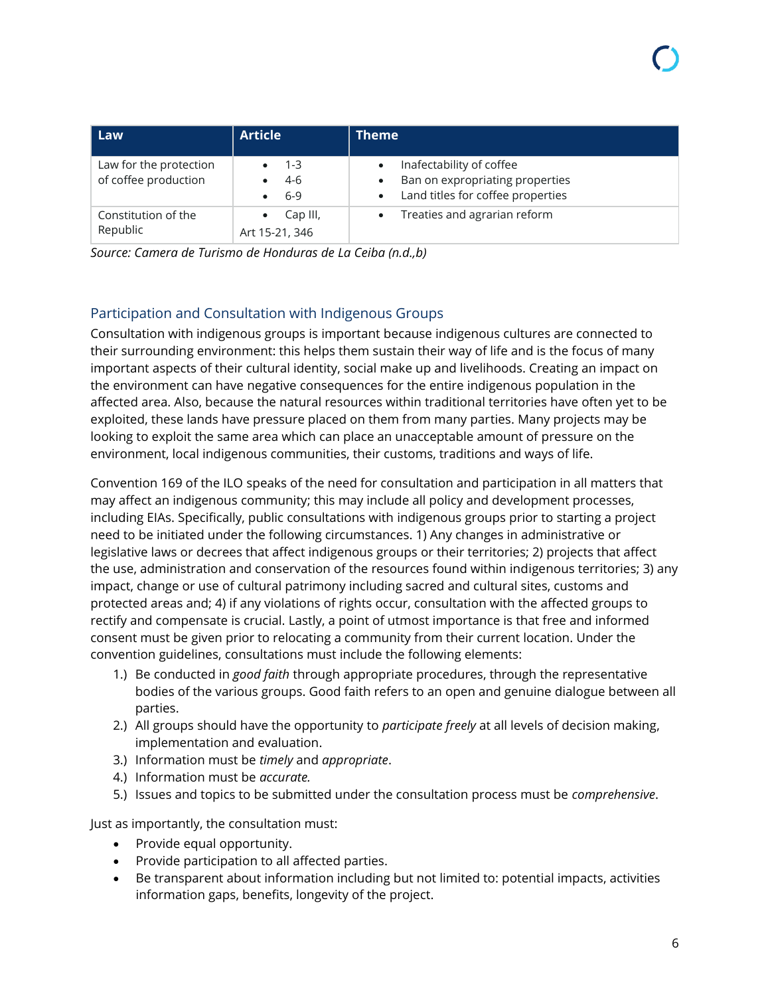| Law                                            | <b>Article</b>             | <b>Theme</b>                                                                                     |
|------------------------------------------------|----------------------------|--------------------------------------------------------------------------------------------------|
| Law for the protection<br>of coffee production | $1 - 3$<br>4-6<br>6-9      | Inafectability of coffee<br>Ban on expropriating properties<br>Land titles for coffee properties |
| Constitution of the<br>Republic                | Cap III,<br>Art 15-21, 346 | Treaties and agrarian reform                                                                     |

*Source: Camera de Turismo de Honduras de La Ceiba (n.d.,b)*

#### Participation and Consultation with Indigenous Groups

Consultation with indigenous groups is important because indigenous cultures are connected to their surrounding environment: this helps them sustain their way of life and is the focus of many important aspects of their cultural identity, social make up and livelihoods. Creating an impact on the environment can have negative consequences for the entire indigenous population in the affected area. Also, because the natural resources within traditional territories have often yet to be exploited, these lands have pressure placed on them from many parties. Many projects may be looking to exploit the same area which can place an unacceptable amount of pressure on the environment, local indigenous communities, their customs, traditions and ways of life.

Convention 169 of the ILO speaks of the need for consultation and participation in all matters that may affect an indigenous community; this may include all policy and development processes, including EIAs. Specifically, public consultations with indigenous groups prior to starting a project need to be initiated under the following circumstances. 1) Any changes in administrative or legislative laws or decrees that affect indigenous groups or their territories; 2) projects that affect the use, administration and conservation of the resources found within indigenous territories; 3) any impact, change or use of cultural patrimony including sacred and cultural sites, customs and protected areas and; 4) if any violations of rights occur, consultation with the affected groups to rectify and compensate is crucial. Lastly, a point of utmost importance is that free and informed consent must be given prior to relocating a community from their current location. Under the convention guidelines, consultations must include the following elements:

- 1.) Be conducted in *good faith* through appropriate procedures, through the representative bodies of the various groups. Good faith refers to an open and genuine dialogue between all parties.
- 2.) All groups should have the opportunity to *participate freely* at all levels of decision making, implementation and evaluation.
- 3.) Information must be *timely* and *appropriate*.
- 4.) Information must be *accurate.*
- 5.) Issues and topics to be submitted under the consultation process must be *comprehensive*.

Just as importantly, the consultation must:

- Provide equal opportunity.
- Provide participation to all affected parties.
- Be transparent about information including but not limited to: potential impacts, activities information gaps, benefits, longevity of the project.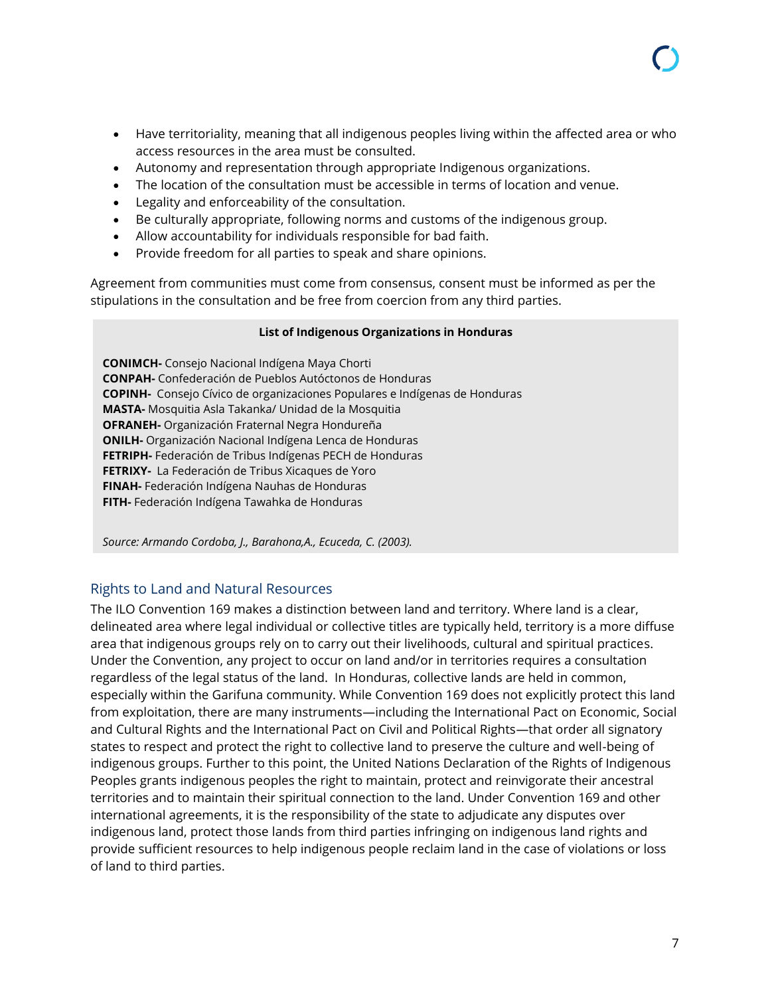- Have territoriality, meaning that all indigenous peoples living within the affected area or who access resources in the area must be consulted.
- Autonomy and representation through appropriate Indigenous organizations.
- The location of the consultation must be accessible in terms of location and venue.
- Legality and enforceability of the consultation.
- Be culturally appropriate, following norms and customs of the indigenous group.
- Allow accountability for individuals responsible for bad faith.
- Provide freedom for all parties to speak and share opinions.

Agreement from communities must come from consensus, consent must be informed as per the stipulations in the consultation and be free from coercion from any third parties.

#### **List of Indigenous Organizations in Honduras**

**CONIMCH-** Consejo Nacional Indígena Maya Chorti **CONPAH-** Confederación de Pueblos Autóctonos de Honduras **COPINH-** Consejo Cívico de organizaciones Populares e Indígenas de Honduras **MASTA-** Mosquitia Asla Takanka/ Unidad de la Mosquitia **OFRANEH-** Organización Fraternal Negra Hondureña **ONILH-** Organización Nacional Indígena Lenca de Honduras **FETRIPH-** Federación de Tribus Indígenas PECH de Honduras **FETRIXY-** La Federación de Tribus Xicaques de Yoro **FINAH-** Federación Indígena Nauhas de Honduras **FITH-** Federación Indígena Tawahka de Honduras

*Source: Armando Cordoba, J., Barahona,A., Ecuceda, C. (2003).*

#### Rights to Land and Natural Resources

The ILO Convention 169 makes a distinction between land and territory. Where land is a clear, delineated area where legal individual or collective titles are typically held, territory is a more diffuse area that indigenous groups rely on to carry out their livelihoods, cultural and spiritual practices. Under the Convention, any project to occur on land and/or in territories requires a consultation regardless of the legal status of the land. In Honduras, collective lands are held in common, especially within the Garifuna community. While Convention 169 does not explicitly protect this land from exploitation, there are many instruments—including the International Pact on Economic, Social and Cultural Rights and the International Pact on Civil and Political Rights—that order all signatory states to respect and protect the right to collective land to preserve the culture and well-being of indigenous groups. Further to this point, the United Nations Declaration of the Rights of Indigenous Peoples grants indigenous peoples the right to maintain, protect and reinvigorate their ancestral territories and to maintain their spiritual connection to the land. Under Convention 169 and other international agreements, it is the responsibility of the state to adjudicate any disputes over indigenous land, protect those lands from third parties infringing on indigenous land rights and provide sufficient resources to help indigenous people reclaim land in the case of violations or loss of land to third parties.